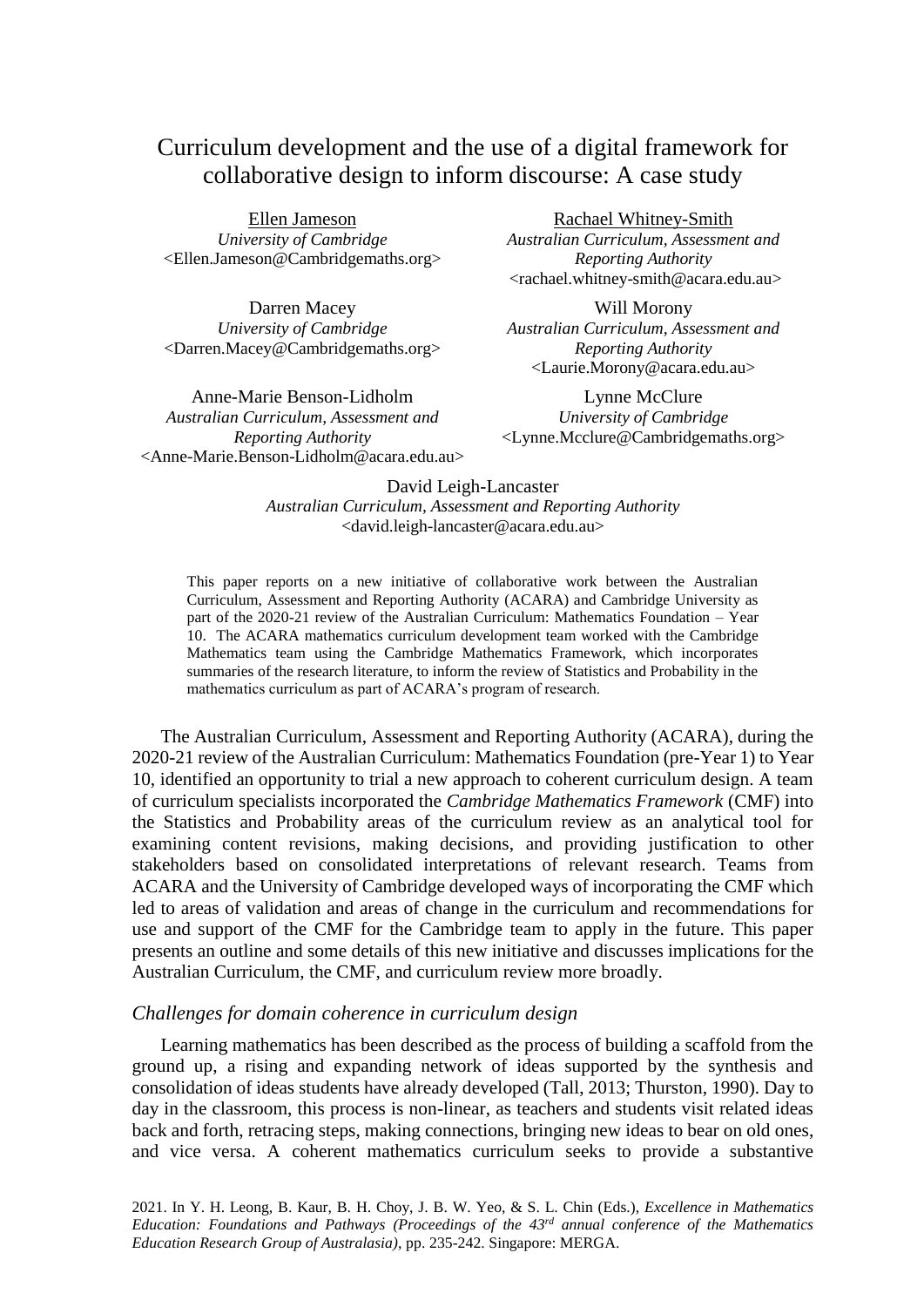# Curriculum development and the use of a digital framework for collaborative design to inform discourse: A case study

Ellen Jameson *University of Cambridge* <Ellen.Jameson@Cambridgemaths.org>

Darren Macey *University of Cambridge* <Darren.Macey@Cambridgemaths.org>

Anne-Marie Benson-Lidholm *Australian Curriculum, Assessment and Reporting Authority* <Anne-Marie.Benson-Lidholm@acara.edu.au> Rachael Whitney-Smith

*Australian Curriculum, Assessment and Reporting Authority* <rachael.whitney-smith@acara.edu.au>

Will Morony *Australian Curriculum, Assessment and Reporting Authority* <Laurie.Morony@acara.edu.au>

Lynne McClure *University of Cambridge* <Lynne.Mcclure@Cambridgemaths.org>

David Leigh-Lancaster *Australian Curriculum, Assessment and Reporting Authority* <david.leigh-lancaster@acara.edu.au>

This paper reports on a new initiative of collaborative work between the Australian Curriculum, Assessment and Reporting Authority (ACARA) and Cambridge University as part of the 2020-21 review of the Australian Curriculum: Mathematics Foundation – Year 10. The ACARA mathematics curriculum development team worked with the Cambridge Mathematics team using the Cambridge Mathematics Framework, which incorporates summaries of the research literature, to inform the review of Statistics and Probability in the mathematics curriculum as part of ACARA's program of research.

The Australian Curriculum, Assessment and Reporting Authority (ACARA), during the 2020-21 review of the Australian Curriculum: Mathematics Foundation (pre-Year 1) to Year 10, identified an opportunity to trial a new approach to coherent curriculum design. A team of curriculum specialists incorporated the *Cambridge Mathematics Framework* (CMF) into the Statistics and Probability areas of the curriculum review as an analytical tool for examining content revisions, making decisions, and providing justification to other stakeholders based on consolidated interpretations of relevant research. Teams from ACARA and the University of Cambridge developed ways of incorporating the CMF which led to areas of validation and areas of change in the curriculum and recommendations for use and support of the CMF for the Cambridge team to apply in the future. This paper presents an outline and some details of this new initiative and discusses implications for the Australian Curriculum, the CMF, and curriculum review more broadly.

#### *Challenges for domain coherence in curriculum design*

Learning mathematics has been described as the process of building a scaffold from the ground up, a rising and expanding network of ideas supported by the synthesis and consolidation of ideas students have already developed (Tall, 2013; Thurston, 1990). Day to day in the classroom, this process is non-linear, as teachers and students visit related ideas back and forth, retracing steps, making connections, bringing new ideas to bear on old ones, and vice versa. A coherent mathematics curriculum seeks to provide a substantive

2021. In Y. H. Leong, B. Kaur, B. H. Choy, J. B. W. Yeo, & S. L. Chin (Eds.), *Excellence in Mathematics*  Education: Foundations and Pathways (Proceedings of the 43<sup>rd</sup> annual conference of the Mathematics *Education Research Group of Australasia)*, pp. 235-242. Singapore: MERGA.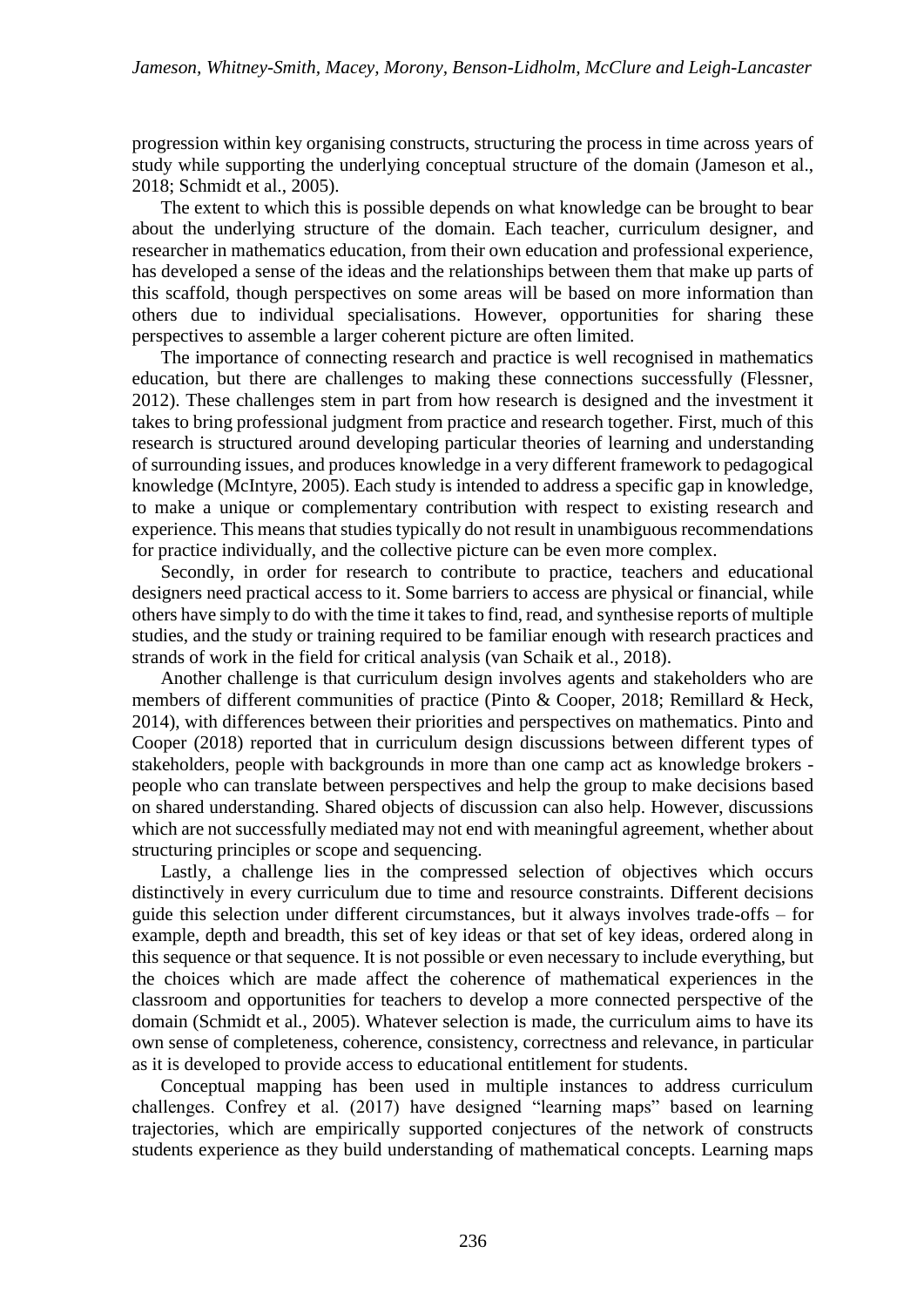progression within key organising constructs, structuring the process in time across years of study while supporting the underlying conceptual structure of the domain (Jameson et al., 2018; Schmidt et al., 2005).

The extent to which this is possible depends on what knowledge can be brought to bear about the underlying structure of the domain. Each teacher, curriculum designer, and researcher in mathematics education, from their own education and professional experience, has developed a sense of the ideas and the relationships between them that make up parts of this scaffold, though perspectives on some areas will be based on more information than others due to individual specialisations. However, opportunities for sharing these perspectives to assemble a larger coherent picture are often limited.

The importance of connecting research and practice is well recognised in mathematics education, but there are challenges to making these connections successfully (Flessner, 2012). These challenges stem in part from how research is designed and the investment it takes to bring professional judgment from practice and research together. First, much of this research is structured around developing particular theories of learning and understanding of surrounding issues, and produces knowledge in a very different framework to pedagogical knowledge (McIntyre, 2005). Each study is intended to address a specific gap in knowledge, to make a unique or complementary contribution with respect to existing research and experience. This means that studies typically do not result in unambiguous recommendations for practice individually, and the collective picture can be even more complex.

Secondly, in order for research to contribute to practice, teachers and educational designers need practical access to it. Some barriers to access are physical or financial, while others have simply to do with the time it takes to find, read, and synthesise reports of multiple studies, and the study or training required to be familiar enough with research practices and strands of work in the field for critical analysis (van Schaik et al., 2018).

Another challenge is that curriculum design involves agents and stakeholders who are members of different communities of practice (Pinto & Cooper, 2018; Remillard & Heck, 2014), with differences between their priorities and perspectives on mathematics. Pinto and Cooper (2018) reported that in curriculum design discussions between different types of stakeholders, people with backgrounds in more than one camp act as knowledge brokers people who can translate between perspectives and help the group to make decisions based on shared understanding. Shared objects of discussion can also help. However, discussions which are not successfully mediated may not end with meaningful agreement, whether about structuring principles or scope and sequencing.

Lastly, a challenge lies in the compressed selection of objectives which occurs distinctively in every curriculum due to time and resource constraints. Different decisions guide this selection under different circumstances, but it always involves trade-offs – for example, depth and breadth, this set of key ideas or that set of key ideas, ordered along in this sequence or that sequence. It is not possible or even necessary to include everything, but the choices which are made affect the coherence of mathematical experiences in the classroom and opportunities for teachers to develop a more connected perspective of the domain (Schmidt et al., 2005). Whatever selection is made, the curriculum aims to have its own sense of completeness, coherence, consistency, correctness and relevance, in particular as it is developed to provide access to educational entitlement for students.

Conceptual mapping has been used in multiple instances to address curriculum challenges. Confrey et al. (2017) have designed "learning maps" based on learning trajectories, which are empirically supported conjectures of the network of constructs students experience as they build understanding of mathematical concepts. Learning maps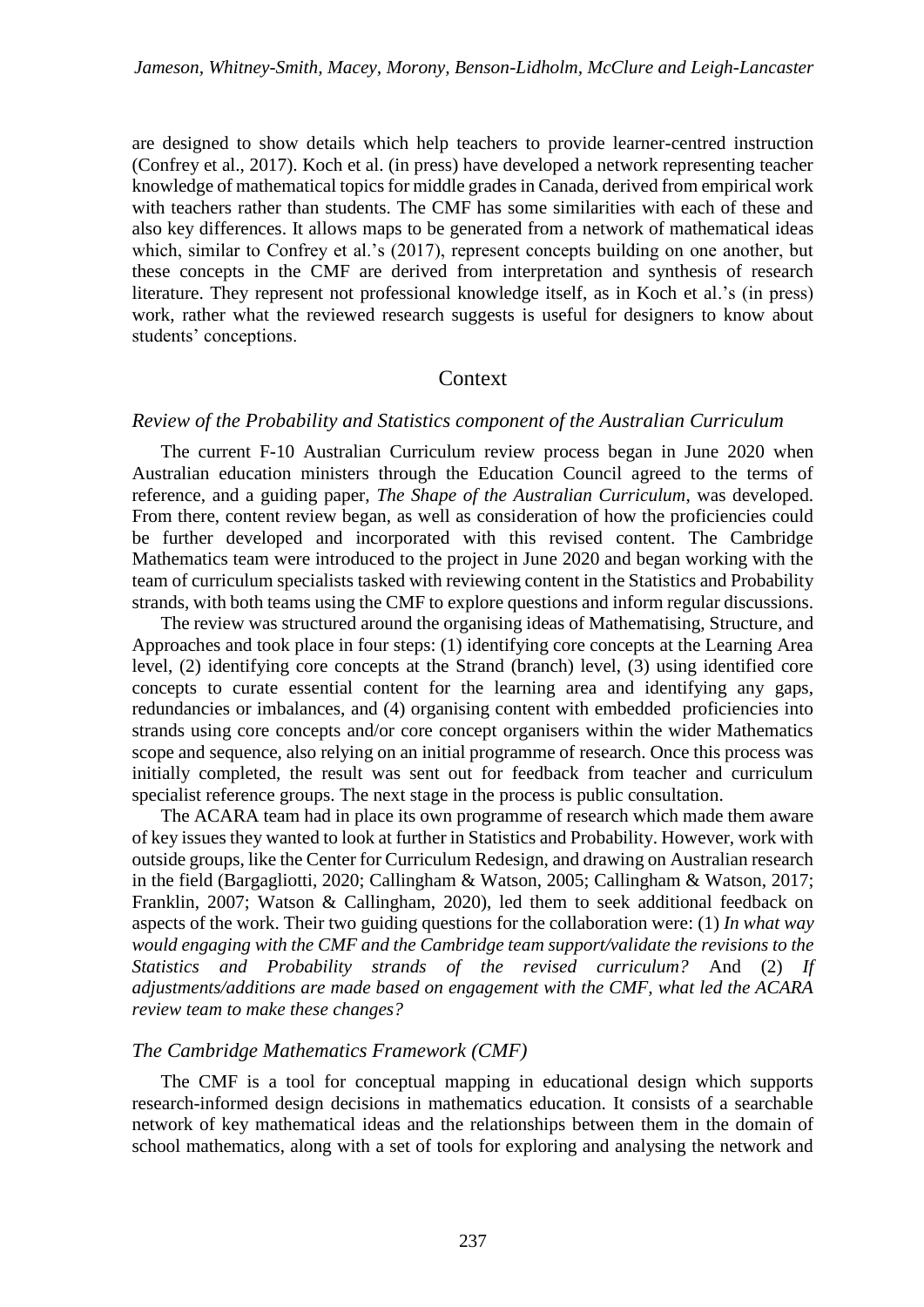are designed to show details which help teachers to provide learner-centred instruction (Confrey et al., 2017). Koch et al. (in press) have developed a network representing teacher knowledge of mathematical topics for middle grades in Canada, derived from empirical work with teachers rather than students. The CMF has some similarities with each of these and also key differences. It allows maps to be generated from a network of mathematical ideas which, similar to Confrey et al.'s (2017), represent concepts building on one another, but these concepts in the CMF are derived from interpretation and synthesis of research literature. They represent not professional knowledge itself, as in Koch et al.'s (in press) work, rather what the reviewed research suggests is useful for designers to know about students' conceptions.

### Context

#### *Review of the Probability and Statistics component of the Australian Curriculum*

The current F-10 Australian Curriculum review process began in June 2020 when Australian education ministers through the Education Council agreed to the terms of reference, and a guiding paper, *The Shape of the Australian Curriculum*, was developed. From there, content review began, as well as consideration of how the proficiencies could be further developed and incorporated with this revised content. The Cambridge Mathematics team were introduced to the project in June 2020 and began working with the team of curriculum specialists tasked with reviewing content in the Statistics and Probability strands, with both teams using the CMF to explore questions and inform regular discussions.

The review was structured around the organising ideas of Mathematising, Structure, and Approaches and took place in four steps: (1) identifying core concepts at the Learning Area level, (2) identifying core concepts at the Strand (branch) level, (3) using identified core concepts to curate essential content for the learning area and identifying any gaps, redundancies or imbalances, and (4) organising content with embedded proficiencies into strands using core concepts and/or core concept organisers within the wider Mathematics scope and sequence, also relying on an initial programme of research. Once this process was initially completed, the result was sent out for feedback from teacher and curriculum specialist reference groups. The next stage in the process is public consultation.

The ACARA team had in place its own programme of research which made them aware of key issues they wanted to look at further in Statistics and Probability. However, work with outside groups, like the Center for Curriculum Redesign, and drawing on Australian research in the field (Bargagliotti, 2020; Callingham & Watson, 2005; Callingham & Watson, 2017; Franklin, 2007; Watson & Callingham, 2020), led them to seek additional feedback on aspects of the work. Their two guiding questions for the collaboration were: (1) *In what way would engaging with the CMF and the Cambridge team support/validate the revisions to the Statistics and Probability strands of the revised curriculum?* And (2) *If adjustments/additions are made based on engagement with the CMF, what led the ACARA review team to make these changes?*

#### *The Cambridge Mathematics Framework (CMF)*

The CMF is a tool for conceptual mapping in educational design which supports research-informed design decisions in mathematics education. It consists of a searchable network of key mathematical ideas and the relationships between them in the domain of school mathematics, along with a set of tools for exploring and analysing the network and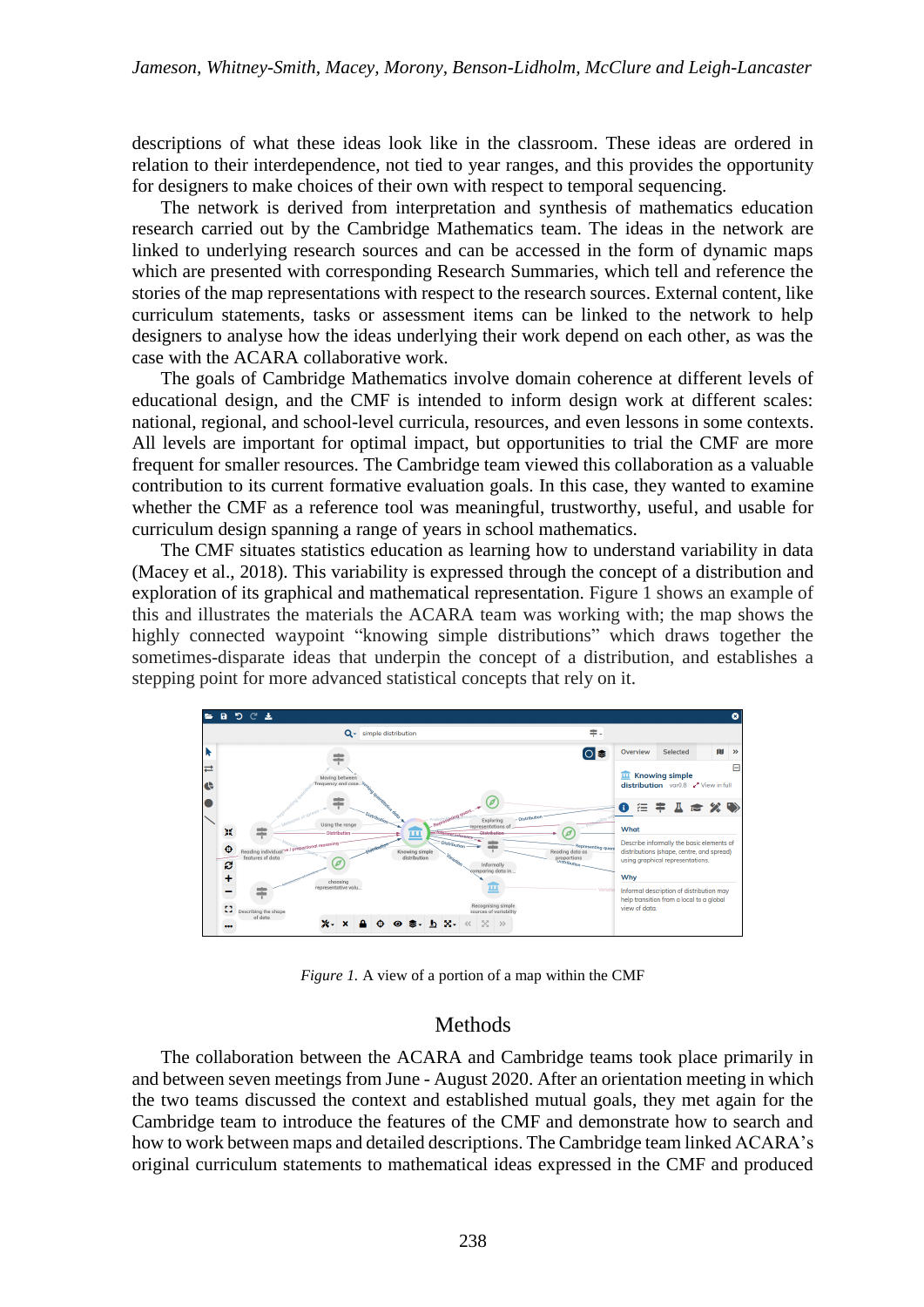descriptions of what these ideas look like in the classroom. These ideas are ordered in relation to their interdependence, not tied to year ranges, and this provides the opportunity for designers to make choices of their own with respect to temporal sequencing.

The network is derived from interpretation and synthesis of mathematics education research carried out by the Cambridge Mathematics team. The ideas in the network are linked to underlying research sources and can be accessed in the form of dynamic maps which are presented with corresponding Research Summaries, which tell and reference the stories of the map representations with respect to the research sources. External content, like curriculum statements, tasks or assessment items can be linked to the network to help designers to analyse how the ideas underlying their work depend on each other, as was the case with the ACARA collaborative work.

The goals of Cambridge Mathematics involve domain coherence at different levels of educational design, and the CMF is intended to inform design work at different scales: national, regional, and school-level curricula, resources, and even lessons in some contexts. All levels are important for optimal impact, but opportunities to trial the CMF are more frequent for smaller resources. The Cambridge team viewed this collaboration as a valuable contribution to its current formative evaluation goals. In this case, they wanted to examine whether the CMF as a reference tool was meaningful, trustworthy, useful, and usable for curriculum design spanning a range of years in school mathematics.

The CMF situates statistics education as learning how to understand variability in data (Macey et al., 2018). This variability is expressed through the concept of a distribution and exploration of its graphical and mathematical representation. Figure 1 shows an example of this and illustrates the materials the ACARA team was working with; the map shows the highly connected waypoint "knowing simple distributions" which draws together the sometimes-disparate ideas that underpin the concept of a distribution, and establishes a stepping point for more advanced statistical concepts that rely on it.



*Figure 1.* A view of a portion of a map within the CMF

#### Methods

The collaboration between the ACARA and Cambridge teams took place primarily in and between seven meetings from June - August 2020. After an orientation meeting in which the two teams discussed the context and established mutual goals, they met again for the Cambridge team to introduce the features of the CMF and demonstrate how to search and how to work between maps and detailed descriptions. The Cambridge team linked ACARA's original curriculum statements to mathematical ideas expressed in the CMF and produced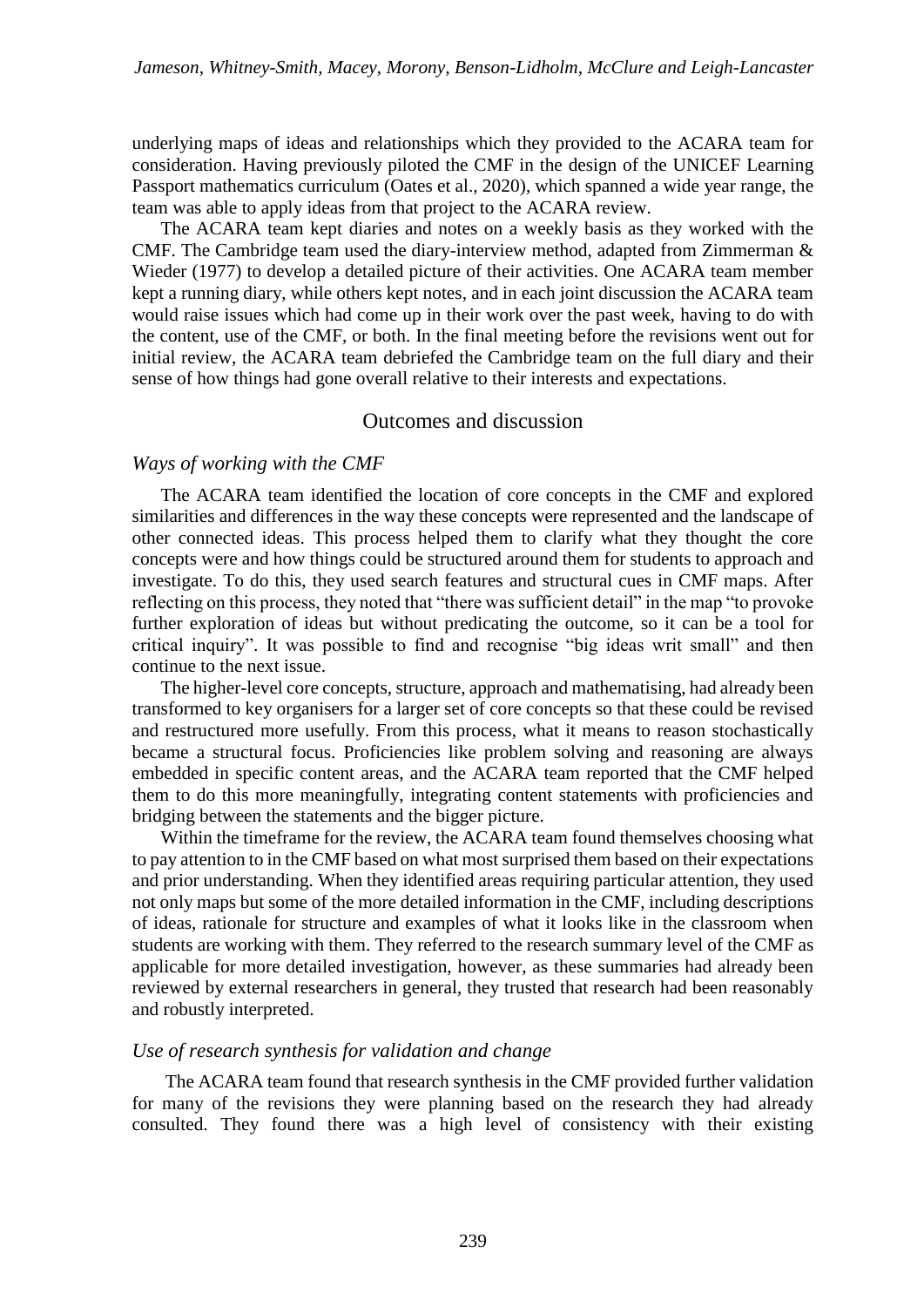underlying maps of ideas and relationships which they provided to the ACARA team for consideration. Having previously piloted the CMF in the design of the UNICEF Learning Passport mathematics curriculum (Oates et al., 2020), which spanned a wide year range, the team was able to apply ideas from that project to the ACARA review.

The ACARA team kept diaries and notes on a weekly basis as they worked with the CMF. The Cambridge team used the diary-interview method, adapted from Zimmerman & Wieder (1977) to develop a detailed picture of their activities. One ACARA team member kept a running diary, while others kept notes, and in each joint discussion the ACARA team would raise issues which had come up in their work over the past week, having to do with the content, use of the CMF, or both. In the final meeting before the revisions went out for initial review, the ACARA team debriefed the Cambridge team on the full diary and their sense of how things had gone overall relative to their interests and expectations.

#### Outcomes and discussion

#### *Ways of working with the CMF*

The ACARA team identified the location of core concepts in the CMF and explored similarities and differences in the way these concepts were represented and the landscape of other connected ideas. This process helped them to clarify what they thought the core concepts were and how things could be structured around them for students to approach and investigate. To do this, they used search features and structural cues in CMF maps. After reflecting on this process, they noted that "there was sufficient detail" in the map "to provoke further exploration of ideas but without predicating the outcome, so it can be a tool for critical inquiry". It was possible to find and recognise "big ideas writ small" and then continue to the next issue.

The higher-level core concepts, structure, approach and mathematising, had already been transformed to key organisers for a larger set of core concepts so that these could be revised and restructured more usefully. From this process, what it means to reason stochastically became a structural focus. Proficiencies like problem solving and reasoning are always embedded in specific content areas, and the ACARA team reported that the CMF helped them to do this more meaningfully, integrating content statements with proficiencies and bridging between the statements and the bigger picture.

Within the timeframe for the review, the ACARA team found themselves choosing what to pay attention to in the CMF based on what most surprised them based on their expectations and prior understanding. When they identified areas requiring particular attention, they used not only maps but some of the more detailed information in the CMF, including descriptions of ideas, rationale for structure and examples of what it looks like in the classroom when students are working with them. They referred to the research summary level of the CMF as applicable for more detailed investigation, however, as these summaries had already been reviewed by external researchers in general, they trusted that research had been reasonably and robustly interpreted.

#### *Use of research synthesis for validation and change*

The ACARA team found that research synthesis in the CMF provided further validation for many of the revisions they were planning based on the research they had already consulted. They found there was a high level of consistency with their existing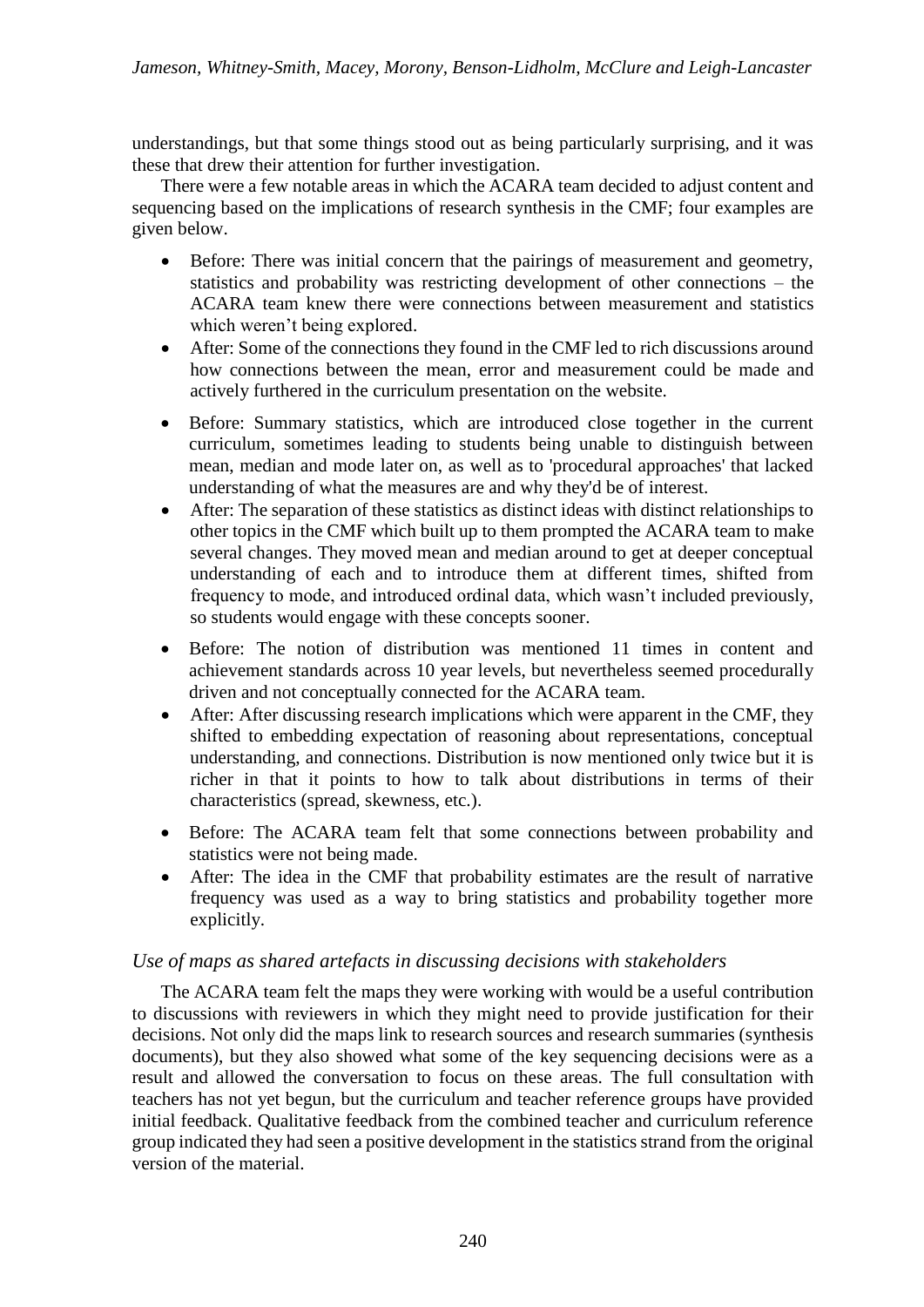understandings, but that some things stood out as being particularly surprising, and it was these that drew their attention for further investigation.

There were a few notable areas in which the ACARA team decided to adjust content and sequencing based on the implications of research synthesis in the CMF; four examples are given below.

- Before: There was initial concern that the pairings of measurement and geometry, statistics and probability was restricting development of other connections – the ACARA team knew there were connections between measurement and statistics which weren't being explored.
- After: Some of the connections they found in the CMF led to rich discussions around how connections between the mean, error and measurement could be made and actively furthered in the curriculum presentation on the website.
- Before: Summary statistics, which are introduced close together in the current curriculum, sometimes leading to students being unable to distinguish between mean, median and mode later on, as well as to 'procedural approaches' that lacked understanding of what the measures are and why they'd be of interest.
- After: The separation of these statistics as distinct ideas with distinct relationships to other topics in the CMF which built up to them prompted the ACARA team to make several changes. They moved mean and median around to get at deeper conceptual understanding of each and to introduce them at different times, shifted from frequency to mode, and introduced ordinal data, which wasn't included previously, so students would engage with these concepts sooner.
- Before: The notion of distribution was mentioned 11 times in content and achievement standards across 10 year levels, but nevertheless seemed procedurally driven and not conceptually connected for the ACARA team.
- After: After discussing research implications which were apparent in the CMF, they shifted to embedding expectation of reasoning about representations, conceptual understanding, and connections. Distribution is now mentioned only twice but it is richer in that it points to how to talk about distributions in terms of their characteristics (spread, skewness, etc.).
- Before: The ACARA team felt that some connections between probability and statistics were not being made.
- After: The idea in the CMF that probability estimates are the result of narrative frequency was used as a way to bring statistics and probability together more explicitly.

### *Use of maps as shared artefacts in discussing decisions with stakeholders*

The ACARA team felt the maps they were working with would be a useful contribution to discussions with reviewers in which they might need to provide justification for their decisions. Not only did the maps link to research sources and research summaries (synthesis documents), but they also showed what some of the key sequencing decisions were as a result and allowed the conversation to focus on these areas. The full consultation with teachers has not yet begun, but the curriculum and teacher reference groups have provided initial feedback. Qualitative feedback from the combined teacher and curriculum reference group indicated they had seen a positive development in the statistics strand from the original version of the material.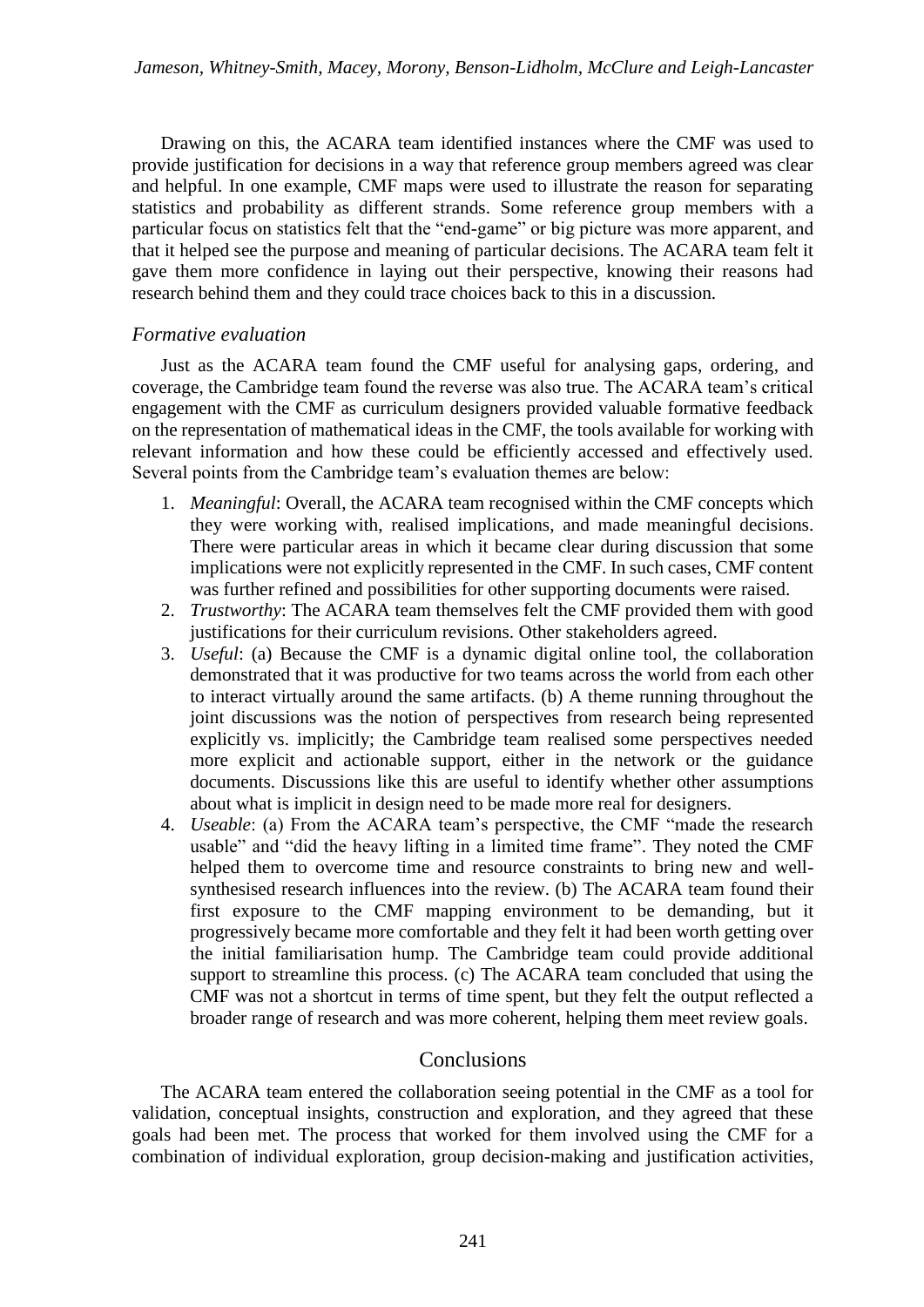Drawing on this, the ACARA team identified instances where the CMF was used to provide justification for decisions in a way that reference group members agreed was clear and helpful. In one example, CMF maps were used to illustrate the reason for separating statistics and probability as different strands. Some reference group members with a particular focus on statistics felt that the "end-game" or big picture was more apparent, and that it helped see the purpose and meaning of particular decisions. The ACARA team felt it gave them more confidence in laying out their perspective, knowing their reasons had research behind them and they could trace choices back to this in a discussion.

### *Formative evaluation*

Just as the ACARA team found the CMF useful for analysing gaps, ordering, and coverage, the Cambridge team found the reverse was also true. The ACARA team's critical engagement with the CMF as curriculum designers provided valuable formative feedback on the representation of mathematical ideas in the CMF, the tools available for working with relevant information and how these could be efficiently accessed and effectively used. Several points from the Cambridge team's evaluation themes are below:

- 1. *Meaningful*: Overall, the ACARA team recognised within the CMF concepts which they were working with, realised implications, and made meaningful decisions. There were particular areas in which it became clear during discussion that some implications were not explicitly represented in the CMF. In such cases, CMF content was further refined and possibilities for other supporting documents were raised.
- 2. *Trustworthy*: The ACARA team themselves felt the CMF provided them with good justifications for their curriculum revisions. Other stakeholders agreed.
- 3. *Useful*: (a) Because the CMF is a dynamic digital online tool, the collaboration demonstrated that it was productive for two teams across the world from each other to interact virtually around the same artifacts. (b) A theme running throughout the joint discussions was the notion of perspectives from research being represented explicitly vs. implicitly; the Cambridge team realised some perspectives needed more explicit and actionable support, either in the network or the guidance documents. Discussions like this are useful to identify whether other assumptions about what is implicit in design need to be made more real for designers.
- 4. *Useable*: (a) From the ACARA team's perspective, the CMF "made the research usable" and "did the heavy lifting in a limited time frame". They noted the CMF helped them to overcome time and resource constraints to bring new and wellsynthesised research influences into the review. (b) The ACARA team found their first exposure to the CMF mapping environment to be demanding, but it progressively became more comfortable and they felt it had been worth getting over the initial familiarisation hump. The Cambridge team could provide additional support to streamline this process. (c) The ACARA team concluded that using the CMF was not a shortcut in terms of time spent, but they felt the output reflected a broader range of research and was more coherent, helping them meet review goals.

## **Conclusions**

The ACARA team entered the collaboration seeing potential in the CMF as a tool for validation, conceptual insights, construction and exploration, and they agreed that these goals had been met. The process that worked for them involved using the CMF for a combination of individual exploration, group decision-making and justification activities,